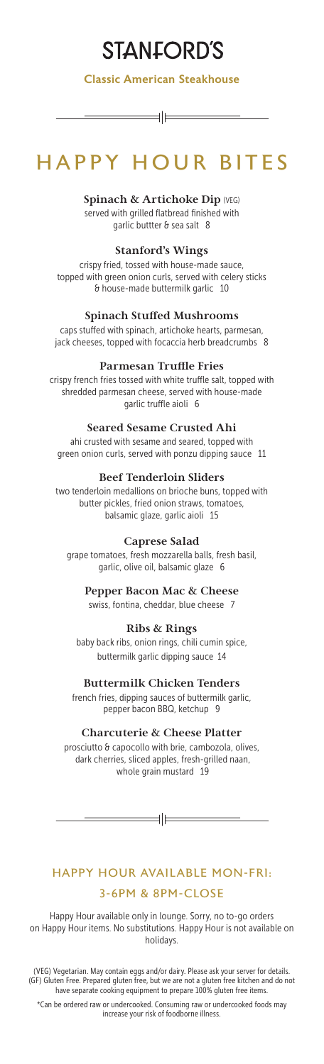# **STANFORD'S**

Classic American Steakhouse

 $\dashv \vdash$ 

# HAPPY HOUR BITES

**Spinach & Artichoke Dip** (VEG) served with grilled flatbread finished with garlic buttter & sea salt 8

#### **Stanford's Wings**

crispy fried, tossed with house-made sauce, topped with green onion curls, served with celery sticks & house-made buttermilk garlic 10

#### **Spinach Stuffed Mushrooms**

caps stuffed with spinach, artichoke hearts, parmesan, jack cheeses, topped with focaccia herb breadcrumbs 8

#### **Parmesan Truffle Fries**

crispy french fries tossed with white truffle salt, topped with shredded parmesan cheese, served with house-made garlic truffle aioli 6

#### **Seared Sesame Crusted Ahi**

ahi crusted with sesame and seared, topped with green onion curls, served with ponzu dipping sauce 11

#### **Beef Tenderloin Sliders**

two tenderloin medallions on brioche buns, topped with butter pickles, fried onion straws, tomatoes, balsamic glaze, garlic aioli 15

#### **Caprese Salad**

grape tomatoes, fresh mozzarella balls, fresh basil, garlic, olive oil, balsamic glaze 6

#### **Pepper Bacon Mac & Cheese**

swiss, fontina, cheddar, blue cheese 7

### **Ribs & Rings**

baby back ribs, onion rings, chili cumin spice, buttermilk garlic dipping sauce 14

#### **Buttermilk Chicken Tenders**

french fries, dipping sauces of buttermilk garlic, pepper bacon BBQ, ketchup 9

#### **Charcuterie & Cheese Platter**

prosciutto & capocollo with brie, cambozola, olives, dark cherries, sliced apples, fresh-grilled naan, whole grain mustard 19

 $=\pm$ 

## HAPPY HOUR AVAILABLE MON-FRI: 3-6PM & 8PM-CLOSE

Happy Hour available only in lounge. Sorry, no to-go orders on Happy Hour items. No substitutions. Happy Hour is not available on holidays.

(VEG) Vegetarian. May contain eggs and/or dairy. Please ask your server for details. (GF) Gluten Free. Prepared gluten free, but we are not a gluten free kitchen and do not have separate cooking equipment to prepare 100% gluten free items.

\*Can be ordered raw or undercooked. Consuming raw or undercooked foods may increase your risk of foodborne illness.